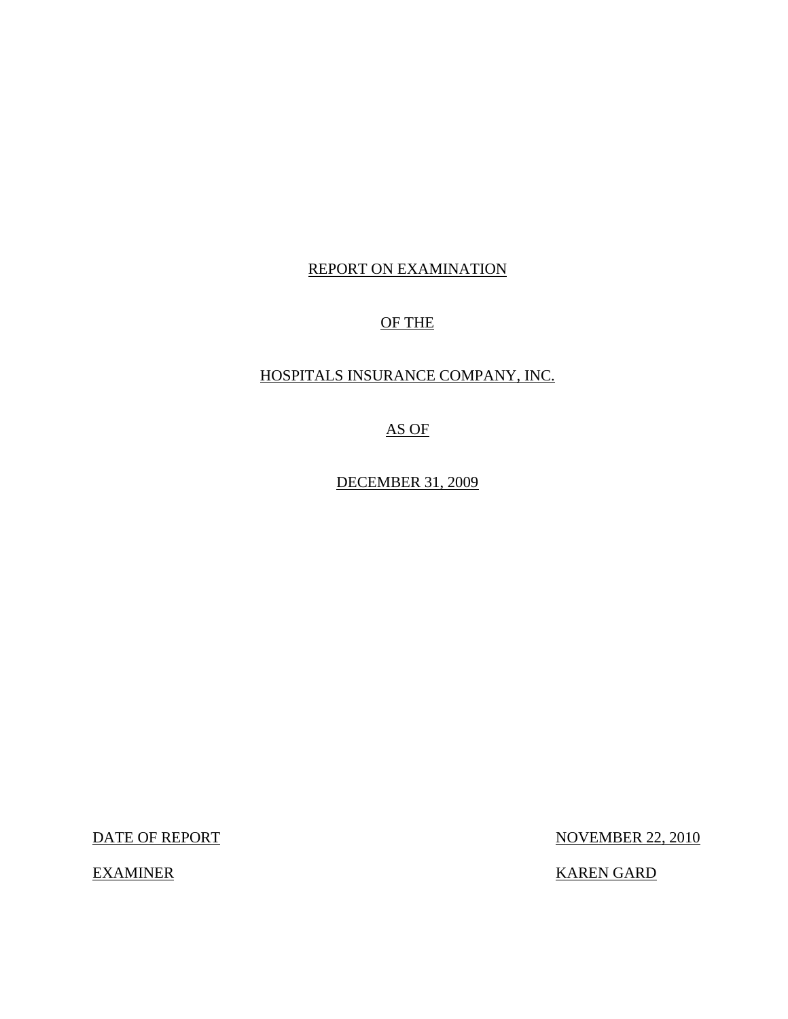## REPORT ON EXAMINATION

## OF THE

## HOSPITALS INSURANCE COMPANY, INC.

AS OF

DECEMBER 31, 2009

DATE OF REPORT NOVEMBER 22, 2010

EXAMINER KAREN GARD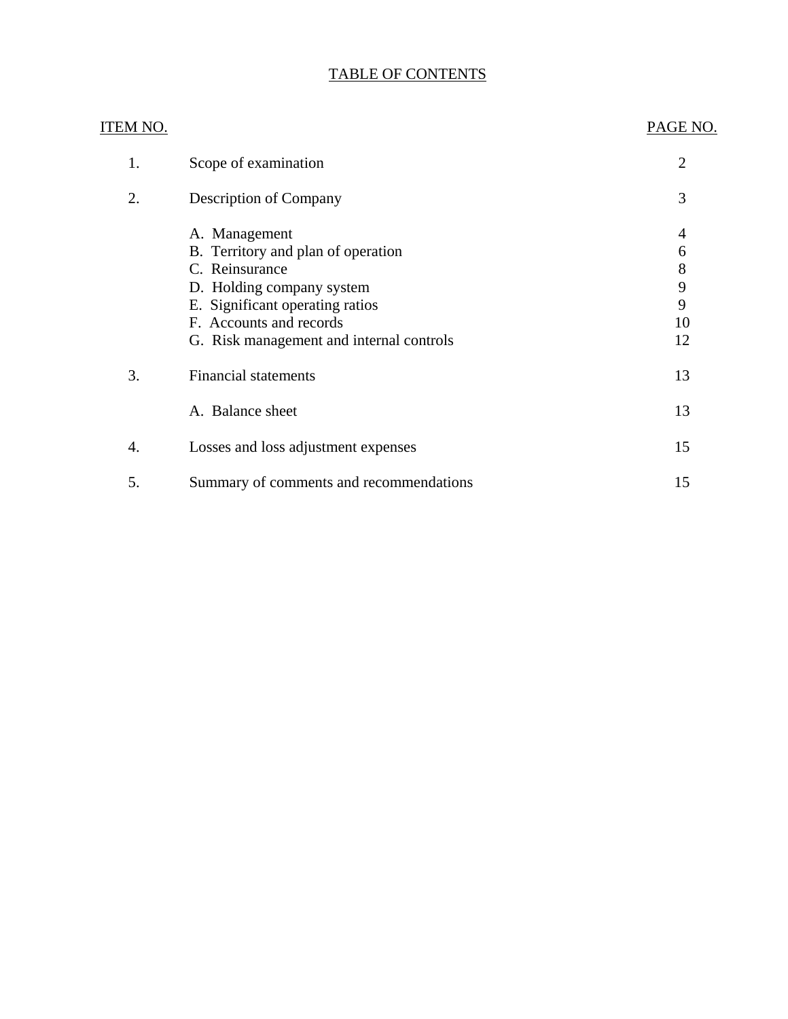# TABLE OF CONTENTS

| ITEM NO. |                                          | PAGE NO. |
|----------|------------------------------------------|----------|
| 1.       | Scope of examination                     | 2        |
| 2.       | <b>Description of Company</b>            | 3        |
|          | A. Management                            | 4        |
|          | B. Territory and plan of operation       | 6        |
|          | C. Reinsurance                           | 8        |
|          | D. Holding company system                | 9        |
|          | E. Significant operating ratios          | 9        |
|          | F. Accounts and records                  | 10       |
|          | G. Risk management and internal controls | 12       |
| 3.       | <b>Financial statements</b>              | 13       |
|          | A. Balance sheet                         | 13       |
| 4.       | Losses and loss adjustment expenses      | 15       |
| 5.       | Summary of comments and recommendations  | 15       |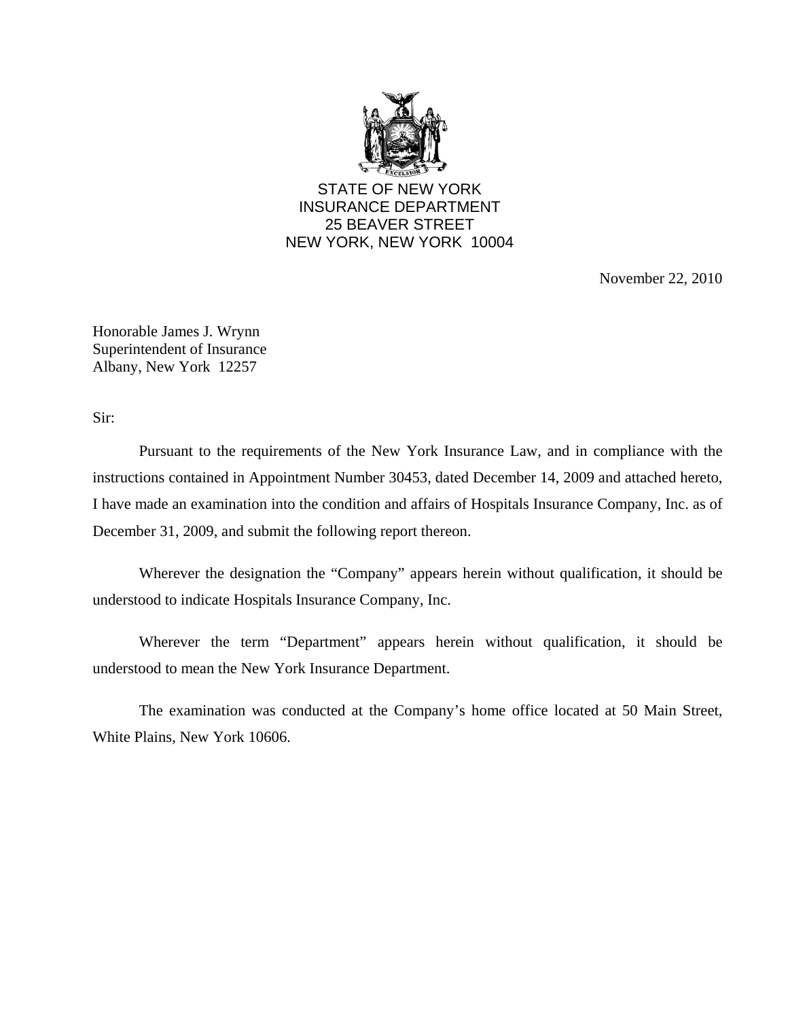

STATE OF NEW YORK INSURANCE DEPARTMENT 25 BEAVER STREET NEW YORK, NEW YORK 10004

November 22, 2010

Honorable James J. Wrynn Superintendent of Insurance Albany, New York 12257

Sir:

Pursuant to the requirements of the New York Insurance Law, and in compliance with the instructions contained in Appointment Number 30453, dated December 14, 2009 and attached hereto, I have made an examination into the condition and affairs of Hospitals Insurance Company, Inc. as of December 31, 2009, and submit the following report thereon.

Wherever the designation the "Company" appears herein without qualification, it should be understood to indicate Hospitals Insurance Company, Inc.

Wherever the term "Department" appears herein without qualification, it should be understood to mean the New York Insurance Department.

The examination was conducted at the Company's home office located at 50 Main Street, White Plains, New York 10606.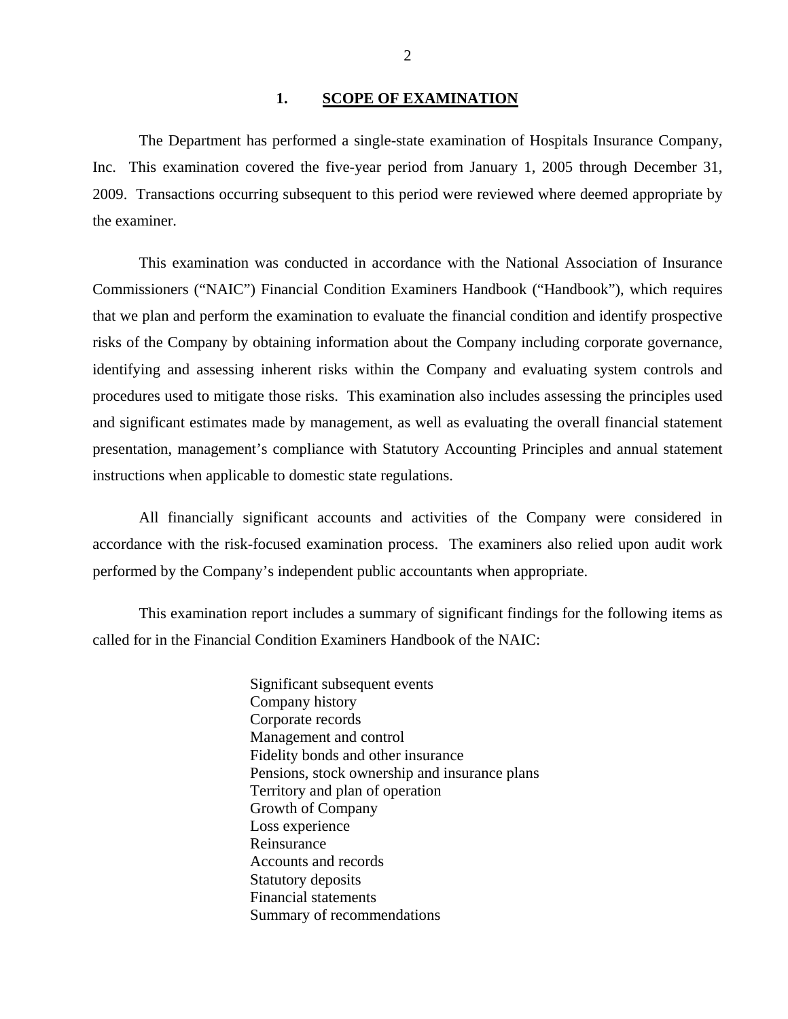#### 1. **SCOPE OF EXAMINATION**

<span id="page-3-0"></span>The Department has performed a single-state examination of Hospitals Insurance Company, Inc. This examination covered the five-year period from January 1, 2005 through December 31, 2009. Transactions occurring subsequent to this period were reviewed where deemed appropriate by the examiner.

This examination was conducted in accordance with the National Association of Insurance Commissioners ("NAIC") Financial Condition Examiners Handbook ("Handbook"), which requires that we plan and perform the examination to evaluate the financial condition and identify prospective risks of the Company by obtaining information about the Company including corporate governance, identifying and assessing inherent risks within the Company and evaluating system controls and procedures used to mitigate those risks. This examination also includes assessing the principles used and significant estimates made by management, as well as evaluating the overall financial statement presentation, management's compliance with Statutory Accounting Principles and annual statement instructions when applicable to domestic state regulations.

All financially significant accounts and activities of the Company were considered in accordance with the risk-focused examination process. The examiners also relied upon audit work performed by the Company's independent public accountants when appropriate.

This examination report includes a summary of significant findings for the following items as called for in the Financial Condition Examiners Handbook of the NAIC:

> Significant subsequent events Company history Corporate records Management and control Fidelity bonds and other insurance Pensions, stock ownership and insurance plans Territory and plan of operation Growth of Company Loss experience Reinsurance Accounts and records Statutory deposits Financial statements Summary of recommendations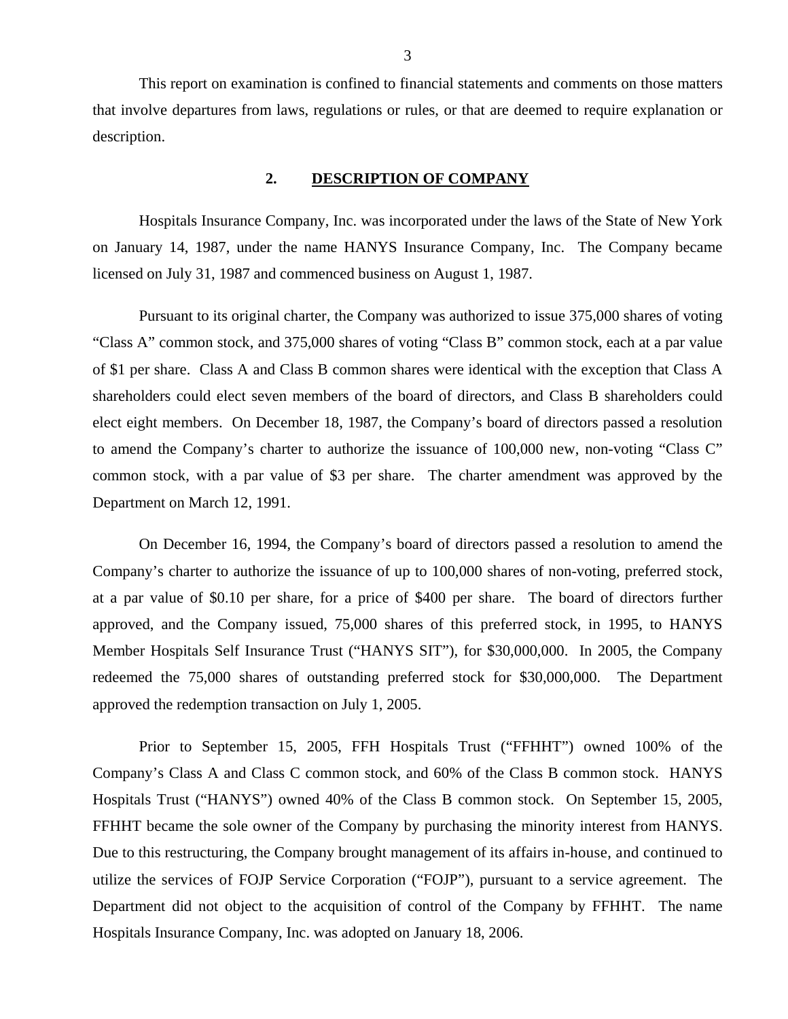<span id="page-4-0"></span>This report on examination is confined to financial statements and comments on those matters that involve departures from laws, regulations or rules, or that are deemed to require explanation or description.

### **2. DESCRIPTION OF COMPANY**

Hospitals Insurance Company, Inc. was incorporated under the laws of the State of New York on January 14, 1987, under the name HANYS Insurance Company, Inc. The Company became licensed on July 31, 1987 and commenced business on August 1, 1987.

Pursuant to its original charter, the Company was authorized to issue 375,000 shares of voting "Class A" common stock, and 375,000 shares of voting "Class B" common stock, each at a par value of \$1 per share. Class A and Class B common shares were identical with the exception that Class A shareholders could elect seven members of the board of directors, and Class B shareholders could elect eight members. On December 18, 1987, the Company's board of directors passed a resolution to amend the Company's charter to authorize the issuance of 100,000 new, non-voting "Class C" common stock, with a par value of \$3 per share. The charter amendment was approved by the Department on March 12, 1991.

On December 16, 1994, the Company's board of directors passed a resolution to amend the Company's charter to authorize the issuance of up to 100,000 shares of non-voting, preferred stock, at a par value of \$0.10 per share, for a price of \$400 per share. The board of directors further approved, and the Company issued, 75,000 shares of this preferred stock, in 1995, to HANYS Member Hospitals Self Insurance Trust ("HANYS SIT"), for \$30,000,000. In 2005, the Company redeemed the 75,000 shares of outstanding preferred stock for \$30,000,000. The Department approved the redemption transaction on July 1, 2005.

Prior to September 15, 2005, FFH Hospitals Trust ("FFHHT") owned 100% of the Company's Class A and Class C common stock, and 60% of the Class B common stock. HANYS Hospitals Trust ("HANYS") owned 40% of the Class B common stock. On September 15, 2005, FFHHT became the sole owner of the Company by purchasing the minority interest from HANYS. Due to this restructuring, the Company brought management of its affairs in-house, and continued to utilize the services of FOJP Service Corporation ("FOJP"), pursuant to a service agreement. The Department did not object to the acquisition of control of the Company by FFHHT. The name Hospitals Insurance Company, Inc. was adopted on January 18, 2006.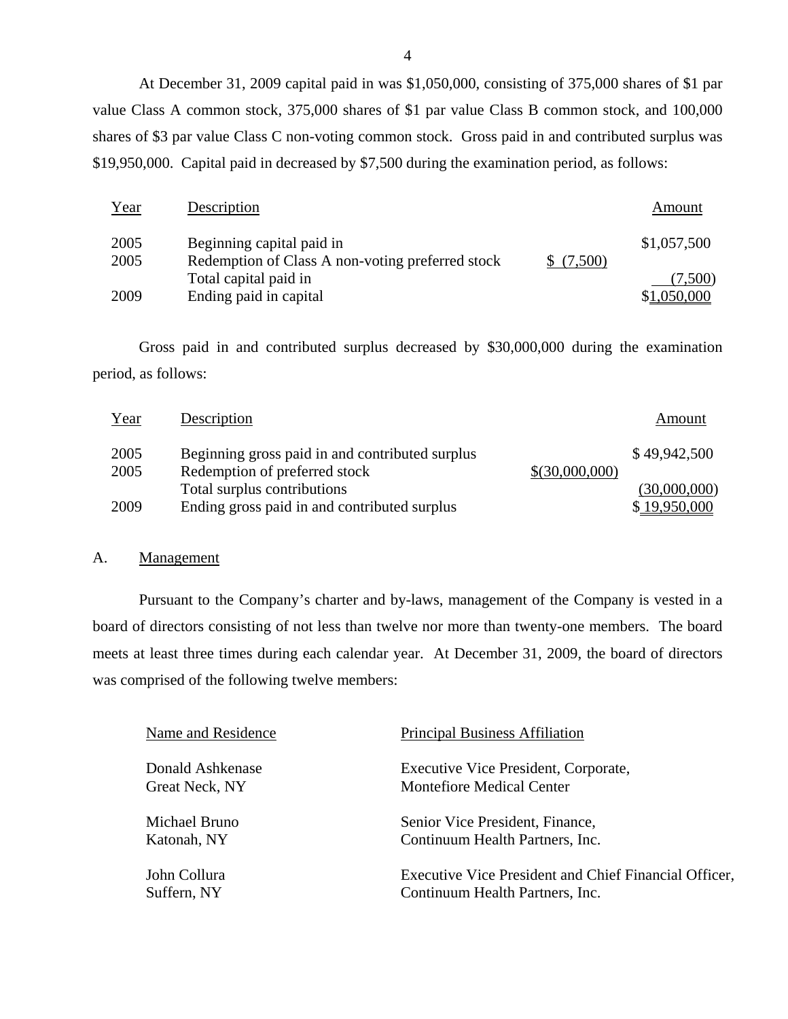<span id="page-5-0"></span>At December 31, 2009 capital paid in was \$1,050,000, consisting of 375,000 shares of \$1 par value Class A common stock, 375,000 shares of \$1 par value Class B common stock, and 100,000 shares of \$3 par value Class C non-voting common stock. Gross paid in and contributed surplus was \$19,950,000. Capital paid in decreased by \$7,500 during the examination period, as follows:

| Year | Description                                                               |           | Amount      |
|------|---------------------------------------------------------------------------|-----------|-------------|
| 2005 | Beginning capital paid in                                                 |           | \$1,057,500 |
| 2005 | Redemption of Class A non-voting preferred stock<br>Total capital paid in | \$(7,500) | (7,500)     |
| 2009 | Ending paid in capital                                                    |           | \$1,050,000 |

Gross paid in and contributed surplus decreased by \$30,000,000 during the examination period, as follows:

| Year | Description                                     |                | Amount       |
|------|-------------------------------------------------|----------------|--------------|
| 2005 | Beginning gross paid in and contributed surplus |                | \$49,942,500 |
| 2005 | Redemption of preferred stock                   | \$(30,000,000) |              |
|      | Total surplus contributions                     |                | (30,000,000) |
| 2009 | Ending gross paid in and contributed surplus    |                | \$19,950,000 |

### A. Management

Pursuant to the Company's charter and by-laws, management of the Company is vested in a board of directors consisting of not less than twelve nor more than twenty-one members. The board meets at least three times during each calendar year. At December 31, 2009, the board of directors was comprised of the following twelve members:

| Name and Residence | <b>Principal Business Affiliation</b>                 |
|--------------------|-------------------------------------------------------|
| Donald Ashkenase   | Executive Vice President, Corporate,                  |
| Great Neck, NY     | <b>Montefiore Medical Center</b>                      |
| Michael Bruno      | Senior Vice President, Finance,                       |
| Katonah, NY        | Continuum Health Partners, Inc.                       |
| John Collura       | Executive Vice President and Chief Financial Officer, |
| Suffern, NY        | Continuum Health Partners, Inc.                       |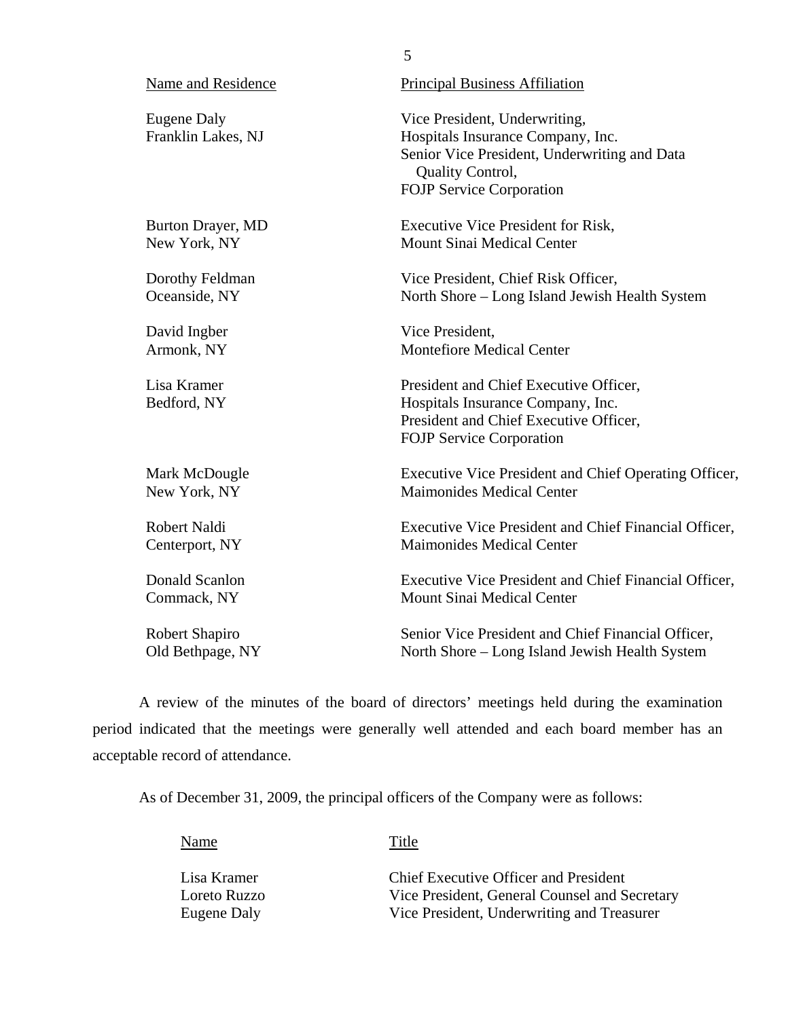| Name and Residence                       | <b>Principal Business Affiliation</b>                                                                                                                                     |
|------------------------------------------|---------------------------------------------------------------------------------------------------------------------------------------------------------------------------|
| <b>Eugene Daly</b><br>Franklin Lakes, NJ | Vice President, Underwriting,<br>Hospitals Insurance Company, Inc.<br>Senior Vice President, Underwriting and Data<br>Quality Control,<br><b>FOJP Service Corporation</b> |
| Burton Drayer, MD                        | <b>Executive Vice President for Risk,</b>                                                                                                                                 |
| New York, NY                             | <b>Mount Sinai Medical Center</b>                                                                                                                                         |
| Dorothy Feldman                          | Vice President, Chief Risk Officer,                                                                                                                                       |
| Oceanside, NY                            | North Shore - Long Island Jewish Health System                                                                                                                            |
| David Ingber                             | Vice President,                                                                                                                                                           |
| Armonk, NY                               | <b>Montefiore Medical Center</b>                                                                                                                                          |
| Lisa Kramer<br>Bedford, NY               | President and Chief Executive Officer,<br>Hospitals Insurance Company, Inc.<br>President and Chief Executive Officer,<br><b>FOJP Service Corporation</b>                  |
| Mark McDougle                            | Executive Vice President and Chief Operating Officer,                                                                                                                     |
| New York, NY                             | <b>Maimonides Medical Center</b>                                                                                                                                          |
| <b>Robert Naldi</b>                      | Executive Vice President and Chief Financial Officer,                                                                                                                     |
| Centerport, NY                           | <b>Maimonides Medical Center</b>                                                                                                                                          |
| Donald Scanlon                           | Executive Vice President and Chief Financial Officer,                                                                                                                     |
| Commack, NY                              | Mount Sinai Medical Center                                                                                                                                                |
| Robert Shapiro                           | Senior Vice President and Chief Financial Officer,                                                                                                                        |
| Old Bethpage, NY                         | North Shore – Long Island Jewish Health System                                                                                                                            |

5

A review of the minutes of the board of directors' meetings held during the examination period indicated that the meetings were generally well attended and each board member has an acceptable record of attendance.

As of December 31, 2009, the principal officers of the Company were as follows:

Name Title

| Lisa Kramer  | <b>Chief Executive Officer and President</b>  |
|--------------|-----------------------------------------------|
| Loreto Ruzzo | Vice President, General Counsel and Secretary |
| Eugene Daly  | Vice President, Underwriting and Treasurer    |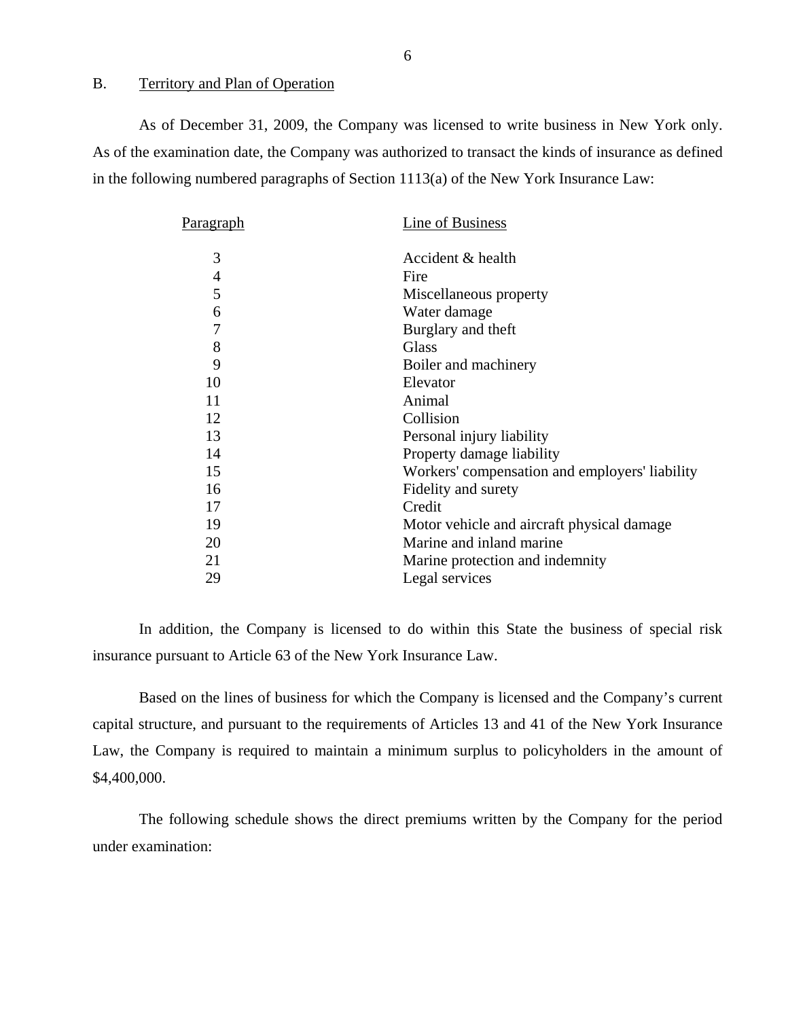#### <span id="page-7-0"></span>B. Territory and Plan of Operation

As of December 31, 2009, the Company was licensed to write business in New York only. As of the examination date, the Company was authorized to transact the kinds of insurance as defined in the following numbered paragraphs of Section 1113(a) of the New York Insurance Law:

| P <u>aragraph</u> | Line of Business                               |
|-------------------|------------------------------------------------|
| 3                 | Accident & health                              |
| 4                 | Fire                                           |
| 5                 | Miscellaneous property                         |
| 6                 | Water damage                                   |
| 7                 | Burglary and theft                             |
| 8                 | <b>Glass</b>                                   |
| 9                 | Boiler and machinery                           |
| 10                | Elevator                                       |
| 11                | Animal                                         |
| 12                | Collision                                      |
| 13                | Personal injury liability                      |
| 14                | Property damage liability                      |
| 15                | Workers' compensation and employers' liability |
| 16                | Fidelity and surety                            |
| 17                | Credit                                         |
| 19                | Motor vehicle and aircraft physical damage     |
| 20                | Marine and inland marine                       |
| 21                | Marine protection and indemnity                |
| 29                | Legal services                                 |
|                   |                                                |

In addition, the Company is licensed to do within this State the business of special risk insurance pursuant to Article 63 of the New York Insurance Law.

Based on the lines of business for which the Company is licensed and the Company's current capital structure, and pursuant to the requirements of Articles 13 and 41 of the New York Insurance Law, the Company is required to maintain a minimum surplus to policyholders in the amount of \$4,400,000.

The following schedule shows the direct premiums written by the Company for the period under examination:

6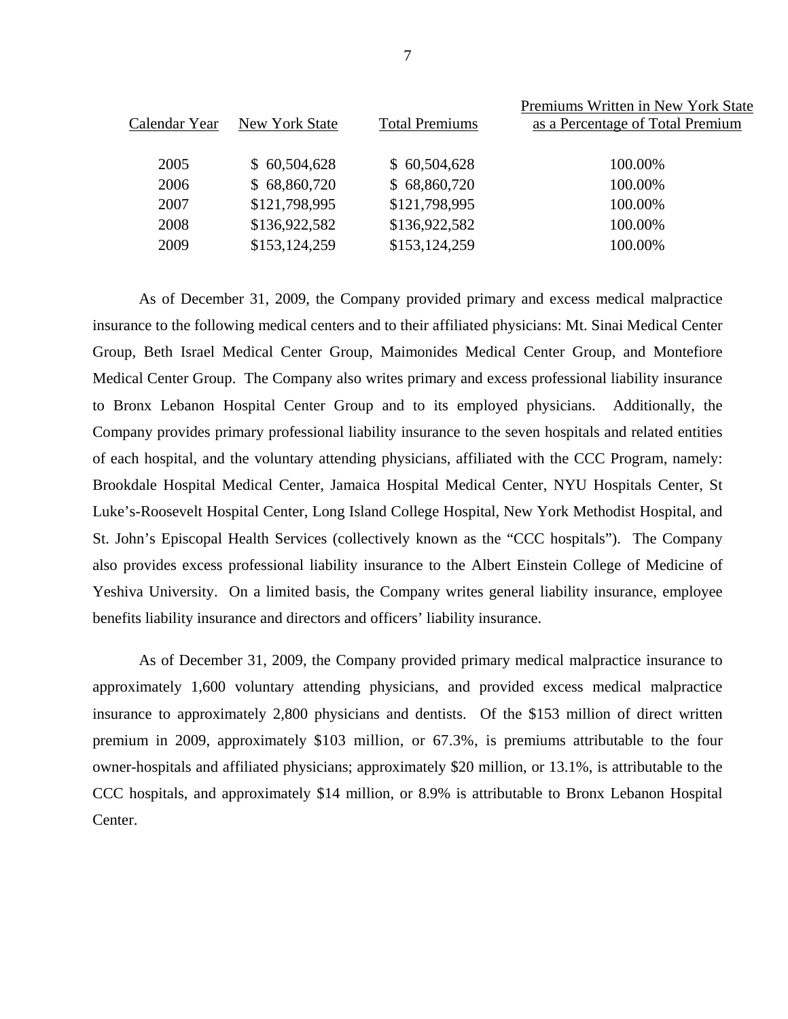|               |                |                       | Premiums Written in New York State |
|---------------|----------------|-----------------------|------------------------------------|
| Calendar Year | New York State | <b>Total Premiums</b> | as a Percentage of Total Premium   |
|               |                |                       |                                    |
| 2005          | \$60,504,628   | \$60,504,628          | 100.00%                            |
| 2006          | \$68,860,720   | \$68,860,720          | 100.00%                            |
| 2007          | \$121,798,995  | \$121,798,995         | 100.00%                            |
| 2008          | \$136,922,582  | \$136,922,582         | 100.00%                            |
| 2009          | \$153,124,259  | \$153,124,259         | 100.00%                            |
|               |                |                       |                                    |

As of December 31, 2009, the Company provided primary and excess medical malpractice insurance to the following medical centers and to their affiliated physicians: Mt. Sinai Medical Center Group, Beth Israel Medical Center Group, Maimonides Medical Center Group, and Montefiore Medical Center Group. The Company also writes primary and excess professional liability insurance to Bronx Lebanon Hospital Center Group and to its employed physicians. Additionally, the Company provides primary professional liability insurance to the seven hospitals and related entities of each hospital, and the voluntary attending physicians, affiliated with the CCC Program, namely: Brookdale Hospital Medical Center, Jamaica Hospital Medical Center, NYU Hospitals Center, St Luke's-Roosevelt Hospital Center, Long Island College Hospital, New York Methodist Hospital, and St. John's Episcopal Health Services (collectively known as the "CCC hospitals"). The Company also provides excess professional liability insurance to the Albert Einstein College of Medicine of Yeshiva University. On a limited basis, the Company writes general liability insurance, employee benefits liability insurance and directors and officers' liability insurance.

As of December 31, 2009, the Company provided primary medical malpractice insurance to approximately 1,600 voluntary attending physicians, and provided excess medical malpractice insurance to approximately 2,800 physicians and dentists. Of the \$153 million of direct written premium in 2009, approximately \$103 million, or 67.3%, is premiums attributable to the four owner-hospitals and affiliated physicians; approximately \$20 million, or 13.1%, is attributable to the CCC hospitals, and approximately \$14 million, or 8.9% is attributable to Bronx Lebanon Hospital Center.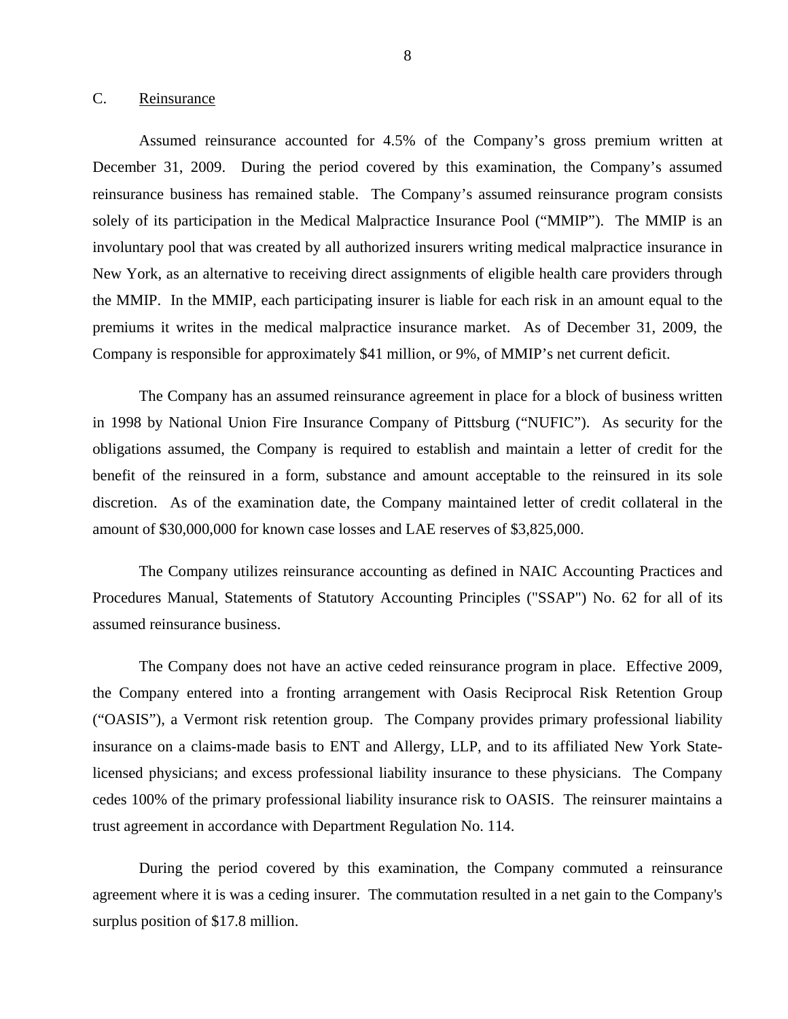#### <span id="page-9-0"></span>C. Reinsurance

Assumed reinsurance accounted for 4.5% of the Company's gross premium written at December 31, 2009. During the period covered by this examination, the Company's assumed reinsurance business has remained stable. The Company's assumed reinsurance program consists solely of its participation in the Medical Malpractice Insurance Pool ("MMIP"). The MMIP is an involuntary pool that was created by all authorized insurers writing medical malpractice insurance in New York, as an alternative to receiving direct assignments of eligible health care providers through the MMIP. In the MMIP, each participating insurer is liable for each risk in an amount equal to the premiums it writes in the medical malpractice insurance market. As of December 31, 2009, the Company is responsible for approximately \$41 million, or 9%, of MMIP's net current deficit.

The Company has an assumed reinsurance agreement in place for a block of business written in 1998 by National Union Fire Insurance Company of Pittsburg ("NUFIC"). As security for the obligations assumed, the Company is required to establish and maintain a letter of credit for the benefit of the reinsured in a form, substance and amount acceptable to the reinsured in its sole discretion. As of the examination date, the Company maintained letter of credit collateral in the amount of \$30,000,000 for known case losses and LAE reserves of \$3,825,000.

The Company utilizes reinsurance accounting as defined in NAIC Accounting Practices and Procedures Manual, Statements of Statutory Accounting Principles ("SSAP") No. 62 for all of its assumed reinsurance business.

The Company does not have an active ceded reinsurance program in place. Effective 2009, the Company entered into a fronting arrangement with Oasis Reciprocal Risk Retention Group ("OASIS"), a Vermont risk retention group. The Company provides primary professional liability insurance on a claims-made basis to ENT and Allergy, LLP, and to its affiliated New York Statelicensed physicians; and excess professional liability insurance to these physicians. The Company cedes 100% of the primary professional liability insurance risk to OASIS. The reinsurer maintains a trust agreement in accordance with Department Regulation No. 114.

During the period covered by this examination, the Company commuted a reinsurance agreement where it is was a ceding insurer. The commutation resulted in a net gain to the Company's surplus position of \$17.8 million.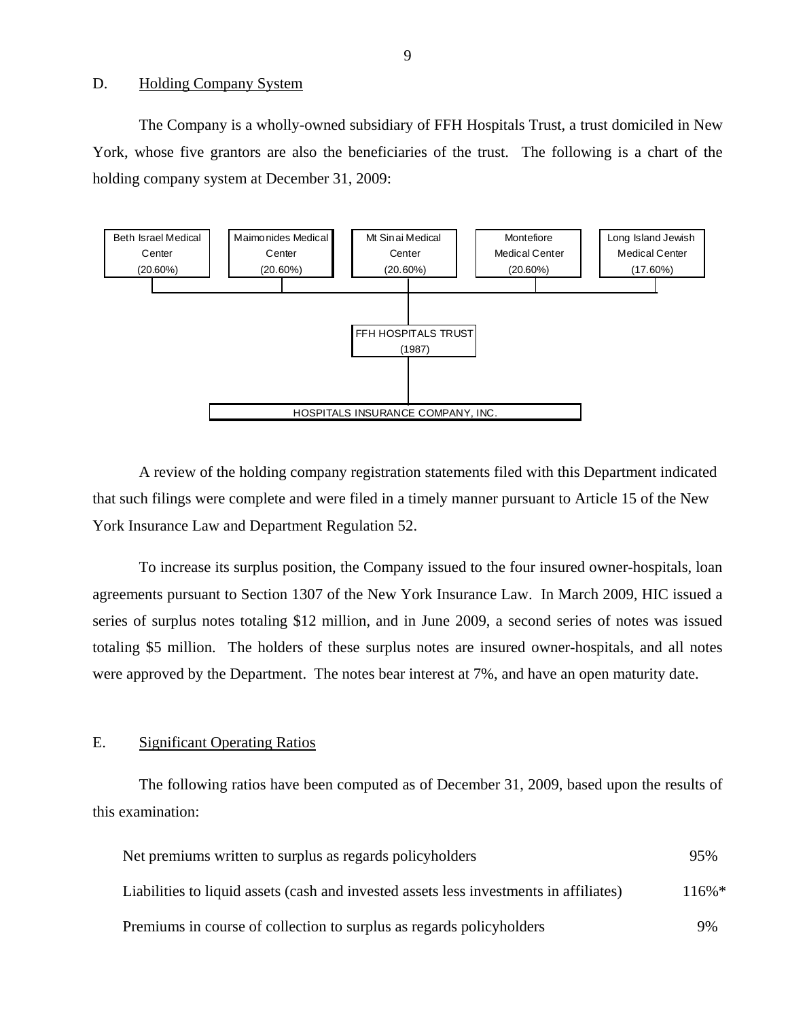#### D. Holding Company System

The Company is a wholly-owned subsidiary of FFH Hospitals Trust, a trust domiciled in New York, whose five grantors are also the beneficiaries of the trust. The following is a chart of the holding company system at December 31, 2009:



A review of the holding company registration statements filed with this Department indicated that such filings were complete and were filed in a timely manner pursuant to Article 15 of the New York Insurance Law and Department Regulation 52.

To increase its surplus position, the Company issued to the four insured owner-hospitals, loan agreements pursuant to Section 1307 of the New York Insurance Law. In March 2009, HIC issued a series of surplus notes totaling \$12 million, and in June 2009, a second series of notes was issued totaling \$5 million. The holders of these surplus notes are insured owner-hospitals, and all notes were approved by the Department. The notes bear interest at 7%, and have an open maturity date.

#### E. Significant Operating Ratios

The following ratios have been computed as of December 31, 2009, based upon the results of this examination:

| Net premiums written to surplus as regards policyholders                               | 95%      |
|----------------------------------------------------------------------------------------|----------|
| Liabilities to liquid assets (cash and invested assets less investments in affiliates) | $116\%*$ |
| Premiums in course of collection to surplus as regards policyholders                   | 9%       |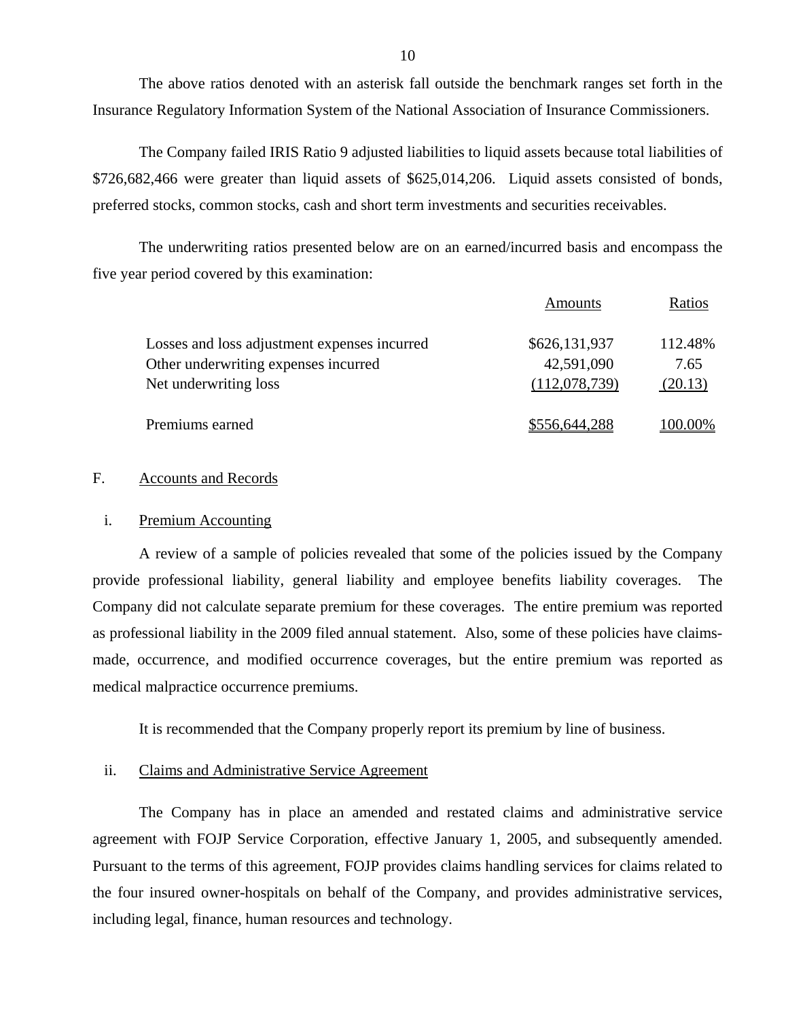The above ratios denoted with an asterisk fall outside the benchmark ranges set forth in the Insurance Regulatory Information System of the National Association of Insurance Commissioners.

The Company failed IRIS Ratio 9 adjusted liabilities to liquid assets because total liabilities of \$726,682,466 were greater than liquid assets of \$625,014,206. Liquid assets consisted of bonds, preferred stocks, common stocks, cash and short term investments and securities receivables.

 The underwriting ratios presented below are on an earned/incurred basis and encompass the five year period covered by this examination:

|                                              | Amounts       | Ratios  |
|----------------------------------------------|---------------|---------|
| Losses and loss adjustment expenses incurred | \$626,131,937 | 112.48% |
| Other underwriting expenses incurred         | 42,591,090    | 7.65    |
| Net underwriting loss                        | (112,078,739) | (20.13) |
| Premiums earned                              | \$556,644,288 | 00.00%  |

#### F. Accounts and Records

#### i. Premium Accounting

A review of a sample of policies revealed that some of the policies issued by the Company provide professional liability, general liability and employee benefits liability coverages. The Company did not calculate separate premium for these coverages. The entire premium was reported as professional liability in the 2009 filed annual statement. Also, some of these policies have claimsmade, occurrence, and modified occurrence coverages, but the entire premium was reported as medical malpractice occurrence premiums.

It is recommended that the Company properly report its premium by line of business.

#### ii. Claims and Administrative Service Agreement

The Company has in place an amended and restated claims and administrative service agreement with FOJP Service Corporation, effective January 1, 2005, and subsequently amended. Pursuant to the terms of this agreement, FOJP provides claims handling services for claims related to the four insured owner-hospitals on behalf of the Company, and provides administrative services, including legal, finance, human resources and technology.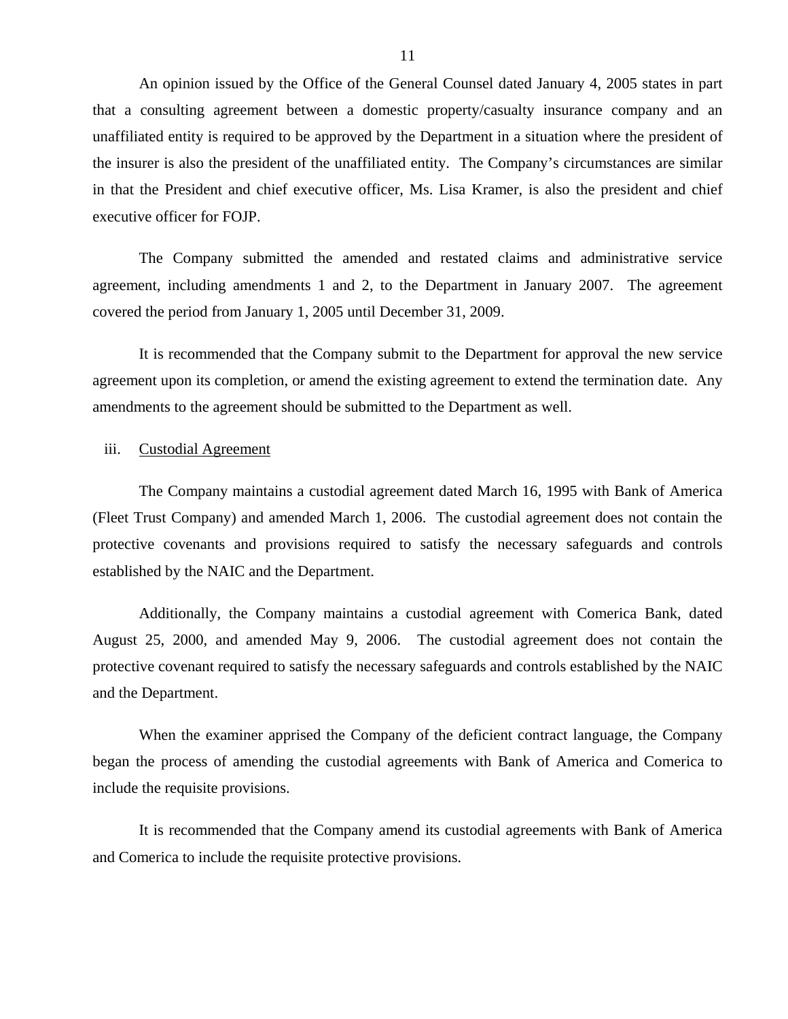An opinion issued by the Office of the General Counsel dated January 4, 2005 states in part that a consulting agreement between a domestic property/casualty insurance company and an unaffiliated entity is required to be approved by the Department in a situation where the president of the insurer is also the president of the unaffiliated entity. The Company's circumstances are similar in that the President and chief executive officer, Ms. Lisa Kramer, is also the president and chief executive officer for FOJP.

The Company submitted the amended and restated claims and administrative service agreement, including amendments 1 and 2, to the Department in January 2007. The agreement covered the period from January 1, 2005 until December 31, 2009.

It is recommended that the Company submit to the Department for approval the new service agreement upon its completion, or amend the existing agreement to extend the termination date. Any amendments to the agreement should be submitted to the Department as well.

#### iii. Custodial Agreement

The Company maintains a custodial agreement dated March 16, 1995 with Bank of America (Fleet Trust Company) and amended March 1, 2006. The custodial agreement does not contain the protective covenants and provisions required to satisfy the necessary safeguards and controls established by the NAIC and the Department.

Additionally, the Company maintains a custodial agreement with Comerica Bank, dated August 25, 2000, and amended May 9, 2006. The custodial agreement does not contain the protective covenant required to satisfy the necessary safeguards and controls established by the NAIC and the Department.

When the examiner apprised the Company of the deficient contract language, the Company began the process of amending the custodial agreements with Bank of America and Comerica to include the requisite provisions.

It is recommended that the Company amend its custodial agreements with Bank of America and Comerica to include the requisite protective provisions.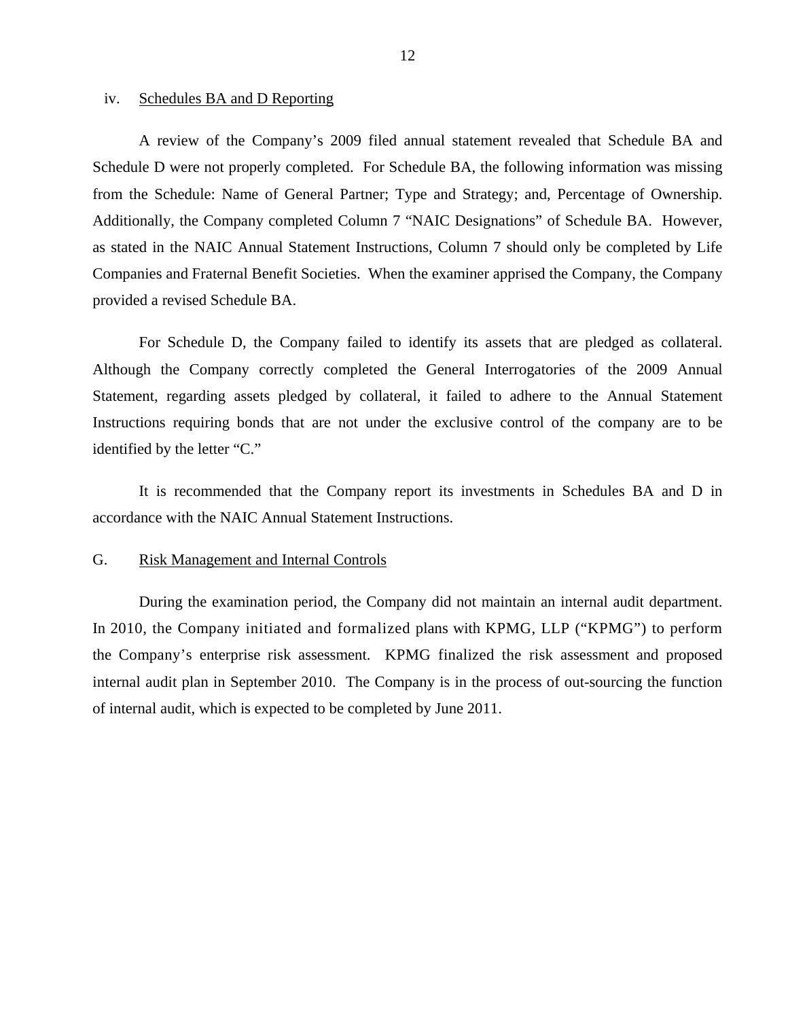#### <span id="page-13-0"></span>iv. Schedules BA and D Reporting

A review of the Company's 2009 filed annual statement revealed that Schedule BA and Schedule D were not properly completed. For Schedule BA, the following information was missing from the Schedule: Name of General Partner; Type and Strategy; and, Percentage of Ownership. Additionally, the Company completed Column 7 "NAIC Designations" of Schedule BA. However, as stated in the NAIC Annual Statement Instructions, Column 7 should only be completed by Life Companies and Fraternal Benefit Societies. When the examiner apprised the Company, the Company provided a revised Schedule BA.

For Schedule D, the Company failed to identify its assets that are pledged as collateral. Although the Company correctly completed the General Interrogatories of the 2009 Annual Statement, regarding assets pledged by collateral, it failed to adhere to the Annual Statement Instructions requiring bonds that are not under the exclusive control of the company are to be identified by the letter "C."

It is recommended that the Company report its investments in Schedules BA and D in accordance with the NAIC Annual Statement Instructions.

### G. Risk Management and Internal Controls

During the examination period, the Company did not maintain an internal audit department. In 2010, the Company initiated and formalized plans with KPMG, LLP ("KPMG") to perform the Company's enterprise risk assessment. KPMG finalized the risk assessment and proposed internal audit plan in September 2010. The Company is in the process of out-sourcing the function of internal audit, which is expected to be completed by June 2011.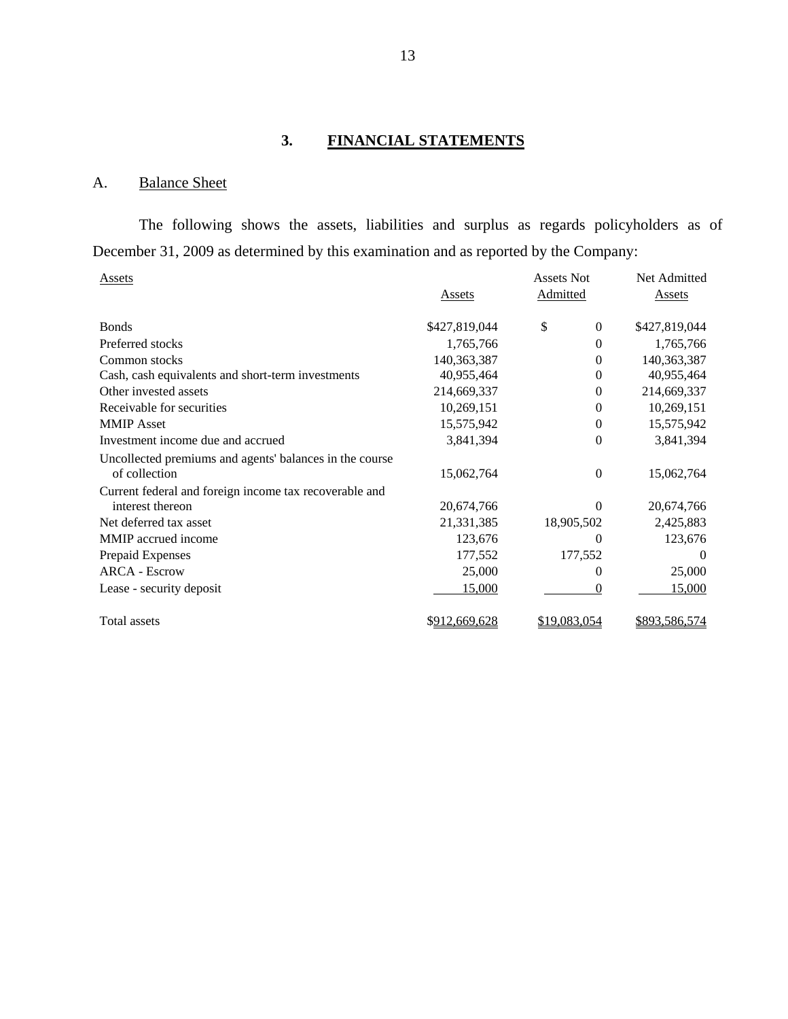## **3. FINANCIAL STATEMENTS**

## A. Balance Sheet

The following shows the assets, liabilities and surplus as regards policyholders as of December 31, 2009 as determined by this examination and as reported by the Company:

| Assets                                                                   |               | <b>Assets Not</b> | Net Admitted  |
|--------------------------------------------------------------------------|---------------|-------------------|---------------|
|                                                                          | Assets        | Admitted          | <b>Assets</b> |
| <b>Bonds</b>                                                             | \$427,819,044 | \$<br>0           | \$427,819,044 |
| Preferred stocks                                                         | 1,765,766     | $\theta$          | 1,765,766     |
| Common stocks                                                            | 140,363,387   | 0                 | 140,363,387   |
| Cash, cash equivalents and short-term investments                        | 40,955,464    | 0                 | 40,955,464    |
| Other invested assets                                                    | 214,669,337   | 0                 | 214,669,337   |
| Receivable for securities                                                | 10,269,151    | 0                 | 10,269,151    |
| <b>MMIP</b> Asset                                                        | 15,575,942    | 0                 | 15,575,942    |
| Investment income due and accrued                                        | 3,841,394     | 0                 | 3,841,394     |
| Uncollected premiums and agents' balances in the course<br>of collection | 15,062,764    | $\overline{0}$    | 15,062,764    |
| Current federal and foreign income tax recoverable and                   |               |                   |               |
| interest thereon                                                         | 20,674,766    | $\Omega$          | 20,674,766    |
| Net deferred tax asset                                                   | 21,331,385    | 18,905,502        | 2,425,883     |
| MMIP accrued income                                                      | 123,676       | 0                 | 123,676       |
| Prepaid Expenses                                                         | 177,552       | 177,552           | $\theta$      |
| <b>ARCA - Escrow</b>                                                     | 25,000        | 0                 | 25,000        |
| Lease - security deposit                                                 | 15,000        | 0                 | 15,000        |
| <b>Total assets</b>                                                      | \$912,669,628 | \$19,083,054      | \$893,586,574 |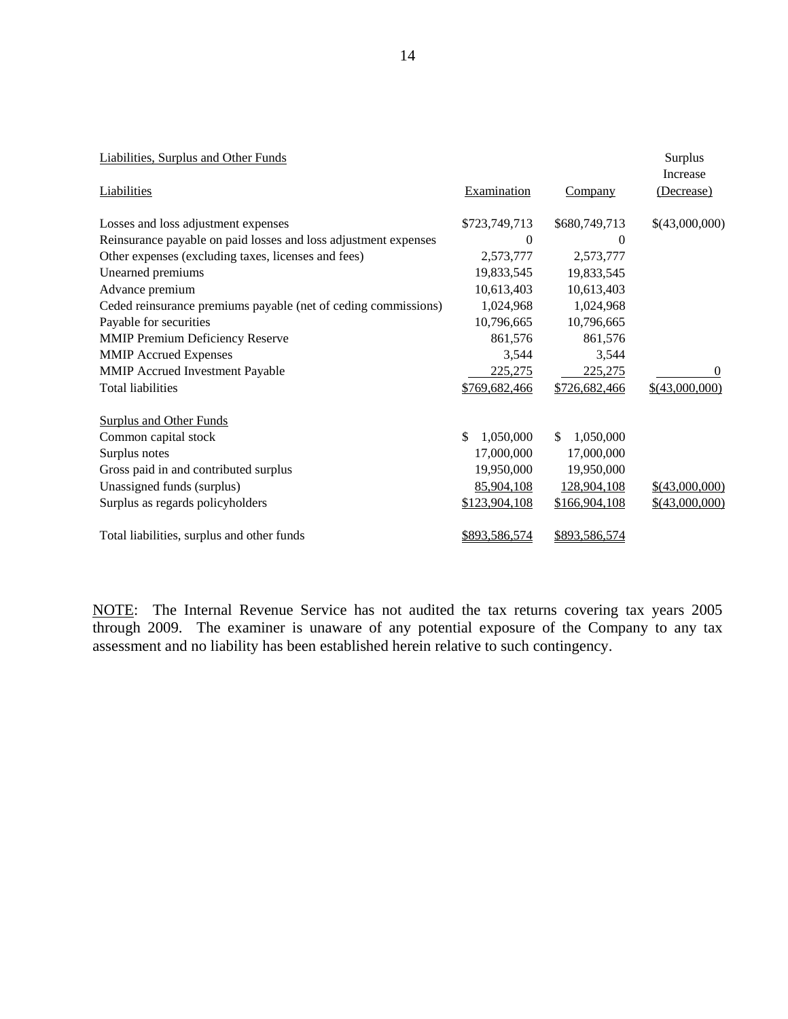| Liabilities, Surplus and Other Funds                            |                 |                            | Surplus<br>Increase |
|-----------------------------------------------------------------|-----------------|----------------------------|---------------------|
| <b>Liabilities</b>                                              | Examination     | <b>Company</b>             | (Decrease)          |
| Losses and loss adjustment expenses                             | \$723,749,713   | \$680,749,713              | \$(43,000,000)      |
| Reinsurance payable on paid losses and loss adjustment expenses | $\theta$        | 0                          |                     |
| Other expenses (excluding taxes, licenses and fees)             | 2,573,777       | 2,573,777                  |                     |
| Unearned premiums                                               | 19,833,545      | 19,833,545                 |                     |
| Advance premium                                                 | 10,613,403      | 10,613,403                 |                     |
| Ceded reinsurance premiums payable (net of ceding commissions)  | 1,024,968       | 1,024,968                  |                     |
| Payable for securities                                          | 10,796,665      | 10,796,665                 |                     |
| <b>MMIP Premium Deficiency Reserve</b>                          | 861,576         | 861,576                    |                     |
| <b>MMIP Accrued Expenses</b>                                    | 3,544           | 3,544                      |                     |
| MMIP Accrued Investment Payable                                 | 225,275         | 225,275                    | 0                   |
| <b>Total liabilities</b>                                        | \$769,682,466   | \$726,682,466              | $$$ (43,000,000)    |
| <b>Surplus and Other Funds</b>                                  |                 |                            |                     |
| Common capital stock                                            | \$<br>1,050,000 | 1,050,000<br><sup>\$</sup> |                     |
| Surplus notes                                                   | 17,000,000      | 17,000,000                 |                     |
| Gross paid in and contributed surplus                           | 19,950,000      | 19,950,000                 |                     |
| Unassigned funds (surplus)                                      | 85,904,108      | 128,904,108                | $$$ (43,000,000)    |
| Surplus as regards policyholders                                | \$123,904,108   | \$166,904,108              | $$$ (43,000,000)    |
| Total liabilities, surplus and other funds                      | \$893,586,574   | \$893,586,574              |                     |

NOTE: The Internal Revenue Service has not audited the tax returns covering tax years 2005 through 2009. The examiner is unaware of any potential exposure of the Company to any tax assessment and no liability has been established herein relative to such contingency.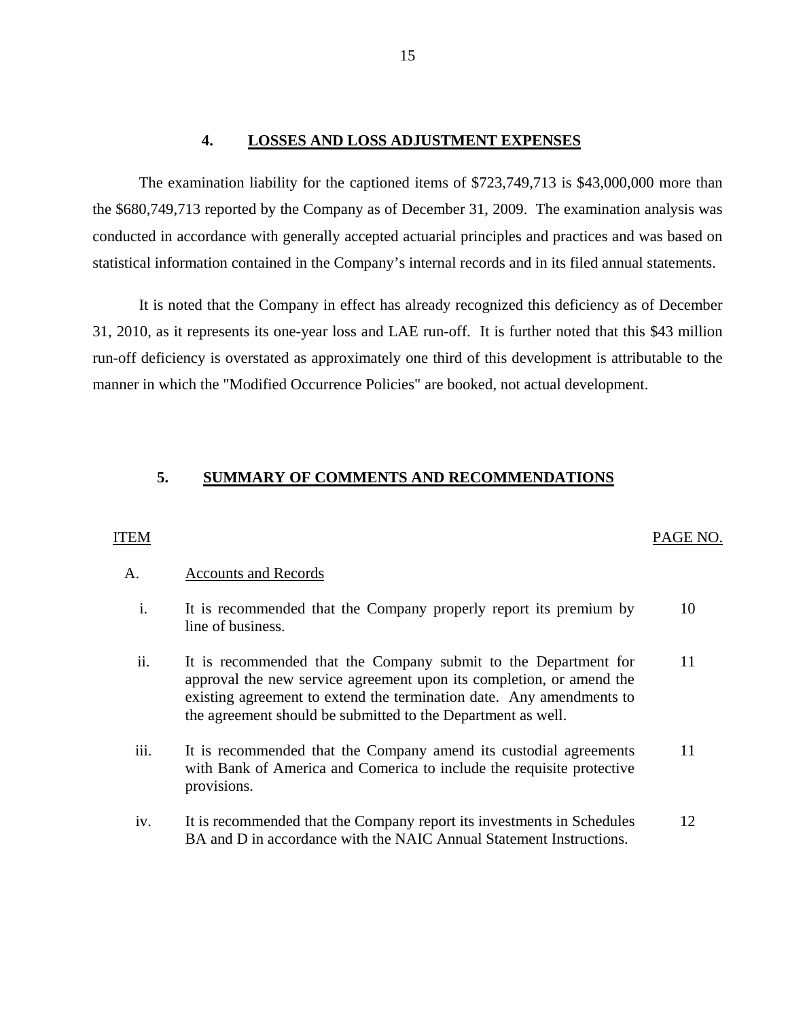#### **4. LOSSES AND LOSS ADJUSTMENT EXPENSES**

The examination liability for the captioned items of \$723,749,713 is \$43,000,000 more than the \$680,749,713 reported by the Company as of December 31, 2009. The examination analysis was conducted in accordance with generally accepted actuarial principles and practices and was based on statistical information contained in the Company's internal records and in its filed annual statements.

It is noted that the Company in effect has already recognized this deficiency as of December 31, 2010, as it represents its one-year loss and LAE run-off. It is further noted that this \$43 million run-off deficiency is overstated as approximately one third of this development is attributable to the manner in which the "Modified Occurrence Policies" are booked, not actual development.

## **5. SUMMARY OF COMMENTS AND RECOMMENDATIONS**

#### ITEM PAGE NO.

### A. Accounts and Records

- i. It is recommended that the Company properly report its premium by line of business. 10
- ii. It is recommended that the Company submit to the Department for approval the new service agreement upon its completion, or amend the existing agreement to extend the termination date. Any amendments to the agreement should be submitted to the Department as well. 11
- iii. It is recommended that the Company amend its custodial agreements with Bank of America and Comerica to include the requisite protective provisions. 11
- iv. It is recommended that the Company report its investments in Schedules BA and D in accordance with the NAIC Annual Statement Instructions. 12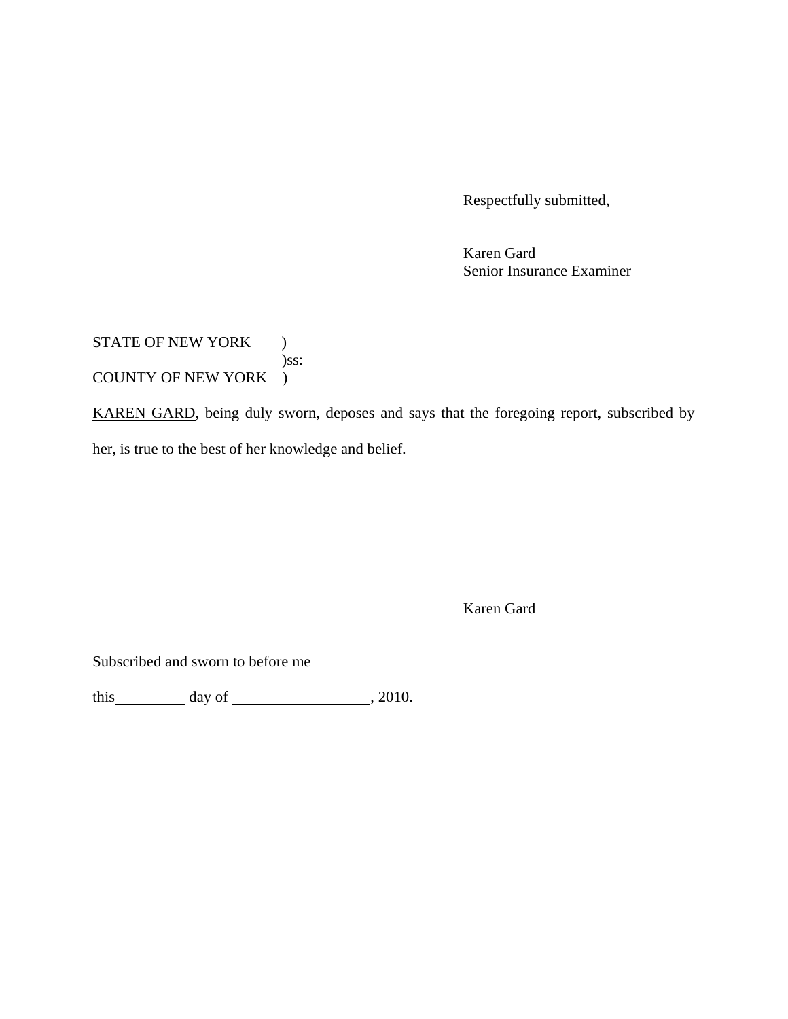Respectfully submitted,

 Karen Gard Senior Insurance Examiner

STATE OF NEW YORK ) )ss: COUNTY OF NEW YORK )

KAREN GARD, being duly sworn, deposes and says that the foregoing report, subscribed by her, is true to the best of her knowledge and belief.

Karen Gard

Subscribed and sworn to before me

this  $\_\_\_\_\_$  day of  $\_\_\_\_\_\_$ , 2010.